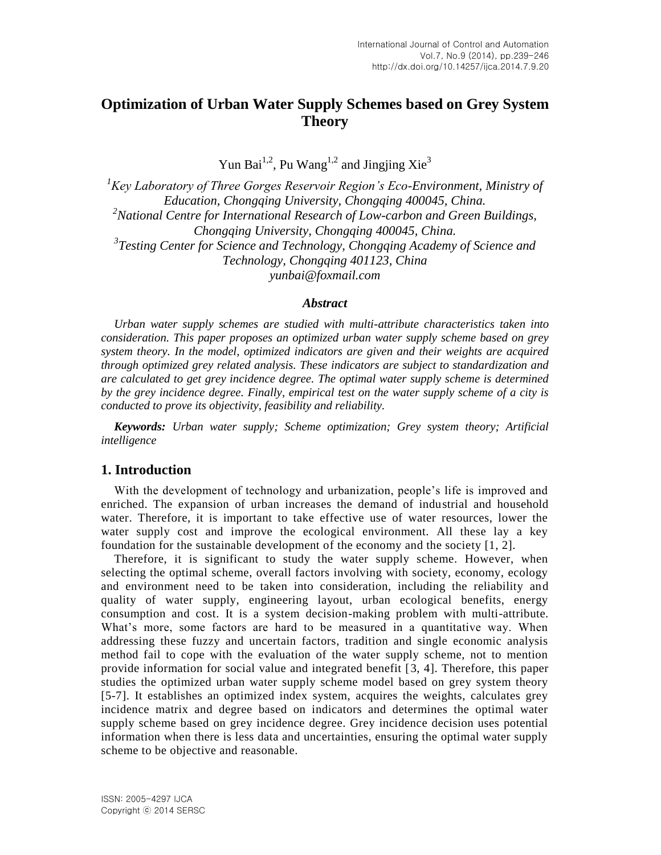# **Optimization of Urban Water Supply Schemes based on Grey System Theory**

Yun Bai<sup>1,2</sup>, Pu Wang<sup>1,2</sup> and Jingjing Xie<sup>3</sup>

*<sup>1</sup>Key Laboratory of Three Gorges Reservoir Region's Eco-Environment, Ministry of Education, Chongqing University, Chongqing 400045, China. <sup>2</sup>National Centre for International Research of Low-carbon and Green Buildings, Chongqing University, Chongqing 400045, China. 3 Testing Center for Science and Technology, Chongqing Academy of Science and Technology, Chongqing 401123, China*

*yunbai@foxmail.com*

#### *Abstract*

*Urban water supply schemes are studied with multi-attribute characteristics taken into consideration. This paper proposes an optimized urban water supply scheme based on grey system theory. In the model, optimized indicators are given and their weights are acquired through optimized grey related analysis. These indicators are subject to standardization and are calculated to get grey incidence degree. The optimal water supply scheme is determined by the grey incidence degree. Finally, empirical test on the water supply scheme of a city is conducted to prove its objectivity, feasibility and reliability.*

*Keywords: Urban water supply; Scheme optimization; Grey system theory; Artificial intelligence*

## **1. Introduction**

With the development of technology and urbanization, people's life is improved and enriched. The expansion of urban increases the demand of industrial and household water. Therefore, it is important to take effective use of water resources, lower the water supply cost and improve the ecological environment. All these lay a key foundation for the sustainable development of the economy and the society [1, 2].

Therefore, it is significant to study the water supply scheme. However, when selecting the optimal scheme, overall factors involving with society, economy, ecology and environment need to be taken into consideration, including the reliability and quality of water supply, engineering layout, urban ecological benefits, energy consumption and cost. It is a system decision-making problem with multi-attribute. What's more, some factors are hard to be measured in a quantitative way. When addressing these fuzzy and uncertain factors, tradition and single economic analysis method fail to cope with the evaluation of the water supply scheme, not to mention provide information for social value and integrated benefit [3, 4]. Therefore, this paper studies the optimized urban water supply scheme model based on grey system theory [5-7]. It establishes an optimized index system, acquires the weights, calculates grey incidence matrix and degree based on indicators and determines the optimal water supply scheme based on grey incidence degree. Grey incidence decision uses potential information when there is less data and uncertainties, ensuring the optimal water supply scheme to be objective and reasonable.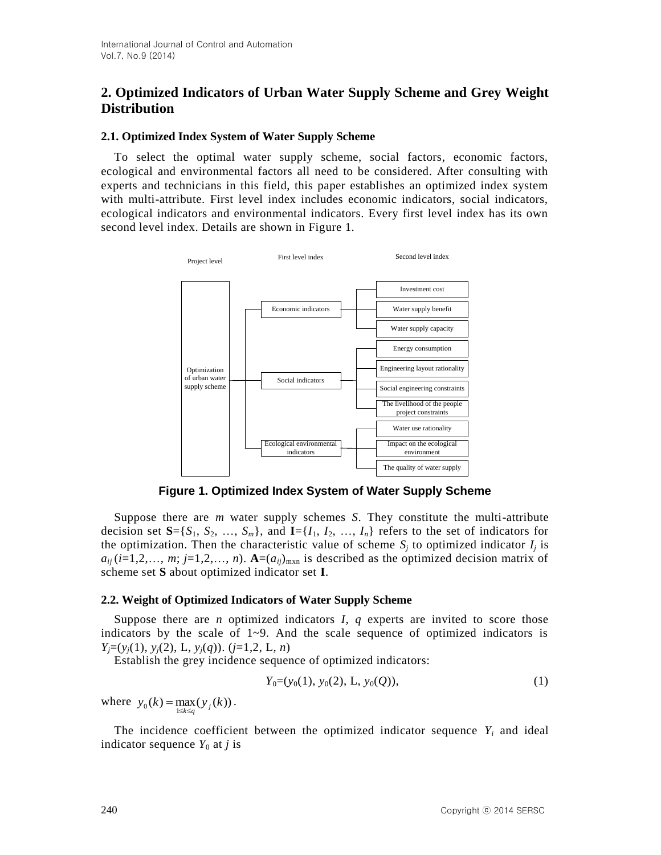## **2. Optimized Indicators of Urban Water Supply Scheme and Grey Weight Distribution**

## **2.1. Optimized Index System of Water Supply Scheme**

To select the optimal water supply scheme, social factors, economic factors, ecological and environmental factors all need to be considered. After consulting with experts and technicians in this field, this paper establishes an optimized index system with multi-attribute. First level index includes economic indicators, social indicators, ecological indicators and environmental indicators. Every first level index has its own second level index. Details are shown in Figure 1.



**Figure 1. Optimized Index System of Water Supply Scheme**

Suppose there are *m* water supply schemes *S*. They constitute the multi-attribute decision set  $S = \{S_1, S_2, \ldots, S_m\}$ , and  $I = \{I_1, I_2, \ldots, I_n\}$  refers to the set of indicators for the optimization. Then the characteristic value of scheme  $S_j$  to optimized indicator  $I_j$  is  $a_{ij}$  (*i*=1,2,…, *m*; *j*=1,2,…, *n*). **A**=( $a_{ij}$ <sub>)mxn</sub> is described as the optimized decision matrix of scheme set **S** about optimized indicator set **I**.

## **2.2. Weight of Optimized Indicators of Water Supply Scheme**

Suppose there are *n* optimized indicators *I*, *q* experts are invited to score those indicators by the scale of  $1~9$ . And the scale sequence of optimized indicators is *Yj*=(*yj*(1), *yj*(2), L, *yj*(*q*)). (*j*=1,2, L, *n*)

Establish the grey incidence sequence of optimized indicators:

$$
Y_0 = (y_0(1), y_0(2), L, y_0(Q)), \tag{1}
$$

where  $y_0(k) = \max_{1 \le k \le q} (y_j(k)).$ 

The incidence coefficient between the optimized indicator sequence  $Y_i$  and ideal indicator sequence  $Y_0$  at *j* is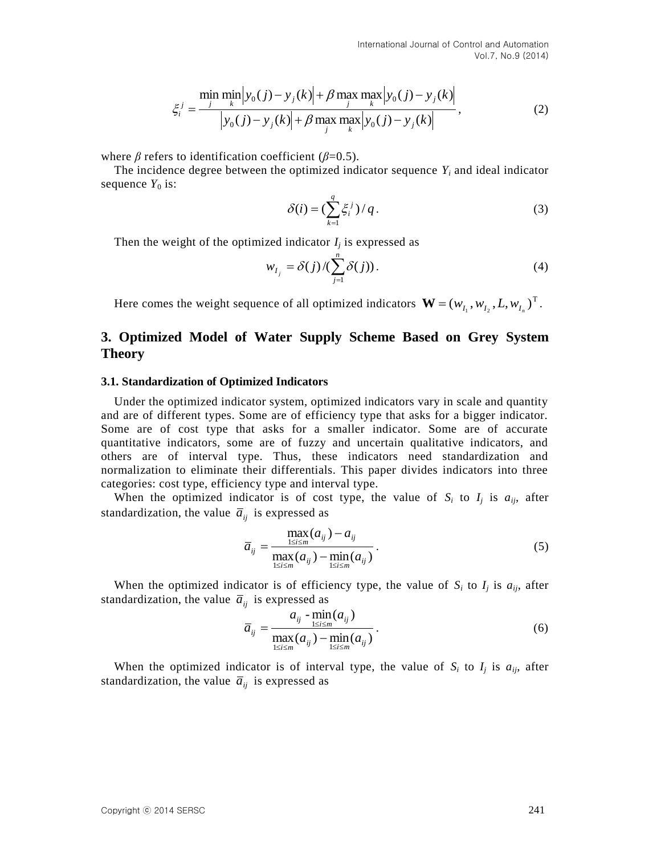$$
\xi_i^j = \frac{\min_{j} \min_{k} |y_0(j) - y_j(k)| + \beta \max_{j} \max_{k} |y_0(j) - y_j(k)|}{|y_0(j) - y_j(k)| + \beta \max_{j} \max_{k} |y_0(j) - y_j(k)|},
$$
\n(2)

where  $\beta$  refers to identification coefficient ( $\beta$ =0.5).

The incidence degree between the optimized indicator sequence  $Y_i$  and ideal indicator sequence  $Y_0$  is:

$$
\delta(i) = \left(\sum_{k=1}^{q} \xi_i^j\right) / q. \tag{3}
$$

Then the weight of the optimized indicator  $I_j$  is expressed as

$$
w_{I_j} = \delta(j) / (\sum_{j=1}^n \delta(j)). \tag{4}
$$

Here comes the weight sequence of all optimized indicators  $\mathbf{W} = (w_{I_1}, w_{I_2}, L, w_{I_n})^T$ .

## **3. Optimized Model of Water Supply Scheme Based on Grey System Theory**

#### **3.1. Standardization of Optimized Indicators**

Under the optimized indicator system, optimized indicators vary in scale and quantity and are of different types. Some are of efficiency type that asks for a bigger indicator. Some are of cost type that asks for a smaller indicator. Some are of accurate quantitative indicators, some are of fuzzy and uncertain qualitative indicators, and others are of interval type. Thus, these indicators need standardization and normalization to eliminate their differentials. This paper divides indicators into three categories: cost type, efficiency type and interval type.

When the optimized indicator is of cost type, the value of  $S_i$  to  $I_j$  is  $a_{ij}$ , after standardization, the value  $\overline{a}_{ij}$  is expressed as

$$
\overline{a}_{ij} = \frac{\max_{1 \le i \le m} (a_{ij}) - a_{ij}}{\max_{1 \le i \le m} (a_{ij}) - \min_{1 \le i \le m} (a_{ij})}.
$$
\n
$$
(5)
$$

When the optimized indicator is of efficiency type, the value of  $S_i$  to  $I_j$  is  $a_{ij}$ , after standardization, the value  $\overline{a}_{ij}$  is expressed as

$$
\overline{a}_{ij} = \frac{a_{ij} - \min_{1 \le i \le m} (a_{ij})}{\max_{1 \le i \le m} (a_{ij}) - \min_{1 \le i \le m} (a_{ij})}.
$$
(6)

When the optimized indicator is of interval type, the value of  $S_i$  to  $I_j$  is  $a_{ij}$ , after standardization, the value  $\overline{a}_{ij}$  is expressed as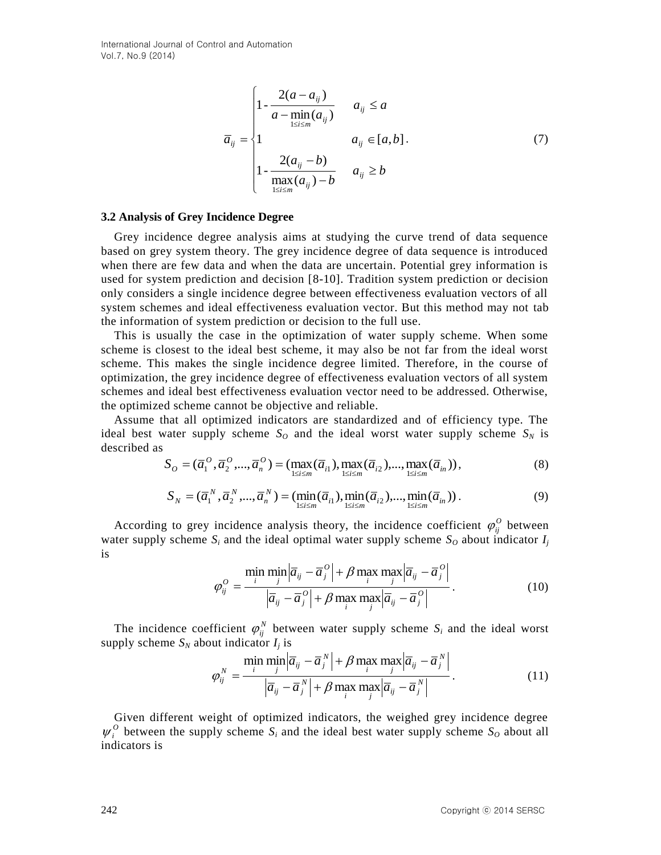$$
\bar{a}_{ij} = \begin{cases}\n1 - \frac{2(a - a_{ij})}{a - \min(a_{ij})} & a_{ij} \le a \\
1 & a_{ij} \in [a, b]. \\
1 - \frac{2(a_{ij} - b)}{\max(a_{ij}) - b} & a_{ij} \ge b\n\end{cases}
$$
\n(7)

#### **3.2 Analysis of Grey Incidence Degree**

Grey incidence degree analysis aims at studying the curve trend of data sequence based on grey system theory. The grey incidence degree of data sequence is introduced when there are few data and when the data are uncertain. Potential grey information is used for system prediction and decision [8-10]. Tradition system prediction or decision only considers a single incidence degree between effectiveness evaluation vectors of all system schemes and ideal effectiveness evaluation vector. But this method may not tab the information of system prediction or decision to the full use.

This is usually the case in the optimization of water supply scheme. When some scheme is closest to the ideal best scheme, it may also be not far from the ideal worst scheme. This makes the single incidence degree limited. Therefore, in the course of optimization, the grey incidence degree of effectiveness evaluation vectors of all system schemes and ideal best effectiveness evaluation vector need to be addressed. Otherwise, the optimized scheme cannot be objective and reliable.

Assume that all optimized indicators are standardized and of efficiency type. The ideal best water supply scheme  $S_O$  and the ideal worst water supply scheme  $S_N$  is described as

$$
S_{O} = (\overline{a}_{1}^{O}, \overline{a}_{2}^{O}, ..., \overline{a}_{n}^{O}) = (\max_{1 \le i \le m} (\overline{a}_{i1}), \max_{1 \le i \le m} (\overline{a}_{i2}), ..., \max_{1 \le i \le m} (\overline{a}_{in})),
$$
\n(8)

$$
S_N = (\overline{a}_1^N, \overline{a}_2^N, ..., \overline{a}_n^N) = (\min_{1 \le i \le m} (\overline{a}_{i1}), \min_{1 \le i \le m} (\overline{a}_{i2}), ..., \min_{1 \le i \le m} (\overline{a}_{in}))
$$
 (9)

According to grey incidence analysis theory, the incidence coefficient  $\varphi_{ij}^0$  between water supply scheme  $S_i$  and the ideal optimal water supply scheme  $S_o$  about indicator  $I_j$ is

$$
\varphi_{ij}^O = \frac{\min_{i} \min_{j} |\overline{a}_{ij} - \overline{a}_{j}^O| + \beta \max_{i} \max_{j} |\overline{a}_{ij} - \overline{a}_{j}^O|}{|\overline{a}_{ij} - \overline{a}_{j}^O| + \beta \max_{i} \max_{j} |\overline{a}_{ij} - \overline{a}_{j}^O|}.
$$
\n(10)

The incidence coefficient  $\varphi_{ij}^N$  between water supply scheme  $S_i$  and the ideal worst supply scheme  $S_N$  about indicator  $I_j$  is

$$
\varphi_{ij}^N = \frac{\min_{j} \min_{j} |\overline{a}_{ij} - \overline{a}_{j}^N| + \beta \max_{i} \max_{j} |\overline{a}_{ij} - \overline{a}_{j}^N|}{|\overline{a}_{ij} - \overline{a}_{j}^N| + \beta \max_{i} \max_{j} |\overline{a}_{ij} - \overline{a}_{j}^N|}.
$$
\n(11)

Given different weight of optimized indicators, the weighed grey incidence degree  $\psi_i^O$  between the supply scheme  $S_i$  and the ideal best water supply scheme  $S_O$  about all indicators is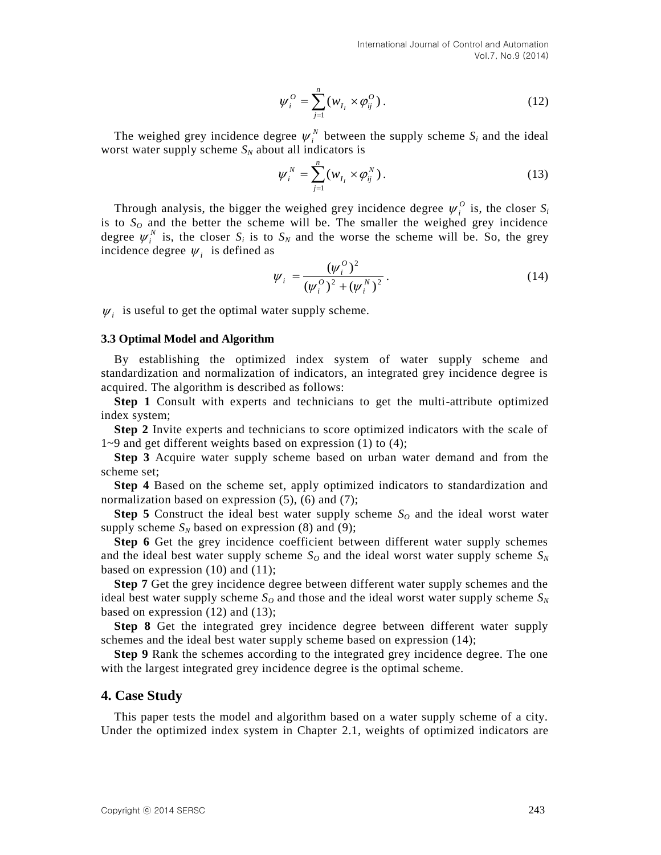$$
\psi_i^0 = \sum_{j=1}^n (w_{I_i} \times \varphi_{ij}^0).
$$
 (12)

The weighed grey incidence degree  $\psi_i^N$  between the supply scheme  $S_i$  and the ideal worst water supply scheme  $S_N$  about all indicators is

$$
\psi_i^N = \sum_{j=1}^n (w_{I_i} \times \phi_{ij}^N).
$$
 (13)

 $w_i^0 = \sum_{j=1}^n (w_i \times \phi_{ij}^{0})$ . (12<br>
The weighed groy incidence degree  $y_i^0$  hetween the supply scheme  $S_i$  and the idea<br>
worst water supply scheme  $S_0$  about all indeteriors in<br>  $w_i^0 = \sum_{j=1}^n (w_i \times \phi_{ij}^0)$ . (13<br>
Throu Through analysis, the bigger the weighed grey incidence degree  $\psi_i^0$  is, the closer  $S_i$ is to  $S_O$  and the better the scheme will be. The smaller the weighed grey incidence degree  $\psi_i^N$  is, the closer  $S_i$  is to  $S_N$  and the worse the scheme will be. So, the grey incidence degree  $\psi_i$  is defined as

$$
\psi_i = \frac{(\psi_i^0)^2}{(\psi_i^0)^2 + (\psi_i^N)^2}.
$$
\n(14)

 $W_i$  is useful to get the optimal water supply scheme.

#### **3.3 Optimal Model and Algorithm**

By establishing the optimized index system of water supply scheme and standardization and normalization of indicators, an integrated grey incidence degree is acquired. The algorithm is described as follows:

**Step 1** Consult with experts and technicians to get the multi-attribute optimized index system;

**Step 2** Invite experts and technicians to score optimized indicators with the scale of 1~9 and get different weights based on expression (1) to (4);

**Step 3** Acquire water supply scheme based on urban water demand and from the scheme set;

**Step 4** Based on the scheme set, apply optimized indicators to standardization and normalization based on expression (5), (6) and (7);

**Step 5** Construct the ideal best water supply scheme  $S<sub>O</sub>$  and the ideal worst water supply scheme  $S_N$  based on expression (8) and (9);

**Step 6** Get the grey incidence coefficient between different water supply schemes and the ideal best water supply scheme  $S<sub>O</sub>$  and the ideal worst water supply scheme  $S<sub>N</sub>$ based on expression (10) and (11);

**Step 7** Get the grey incidence degree between different water supply schemes and the ideal best water supply scheme  $S<sub>O</sub>$  and those and the ideal worst water supply scheme  $S<sub>N</sub>$ based on expression (12) and (13);

**Step 8** Get the integrated grey incidence degree between different water supply schemes and the ideal best water supply scheme based on expression (14);

**Step 9** Rank the schemes according to the integrated grey incidence degree. The one with the largest integrated grey incidence degree is the optimal scheme.

#### **4. Case Study**

This paper tests the model and algorithm based on a water supply scheme of a city. Under the optimized index system in Chapter 2.1, weights of optimized indicators are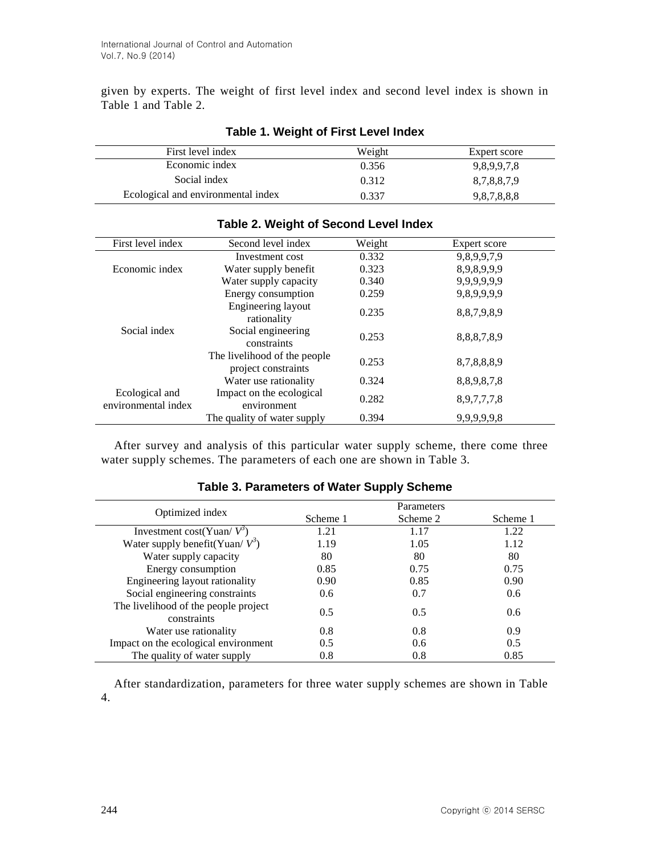given by experts. The weight of first level index and second level index is shown in Table 1 and Table 2.

| First level index                  | Weight | Expert score |
|------------------------------------|--------|--------------|
| Economic index                     | 0.356  | 9,8,9,9,7,8  |
| Social index                       | 0.312  | 8,7,8,8,7,9  |
| Ecological and environmental index | 0.337  | 9,8,7,8,8,8  |

## **Table 1. Weight of First Level Index**

| First level index                     | Second level index                                  | Weight | Expert score |
|---------------------------------------|-----------------------------------------------------|--------|--------------|
|                                       | Investment cost                                     | 0.332  | 9,8,9,9,7,9  |
| Economic index                        | Water supply benefit                                | 0.323  | 8,9,8,9,9,9  |
|                                       | Water supply capacity                               | 0.340  | 9,9,9,9,9,9  |
|                                       | Energy consumption                                  | 0.259  | 9,8,9,9,9,9  |
|                                       | Engineering layout<br>rationality                   | 0.235  | 8,8,7,9,8,9  |
| Social index                          | Social engineering<br>constraints                   | 0.253  | 8,8,8,7,8,9  |
|                                       | The livelihood of the people<br>project constraints | 0.253  | 8,7,8,8,8,9  |
|                                       | Water use rationality                               | 0.324  | 8,8,9,8,7,8  |
| Ecological and<br>environmental index | Impact on the ecological<br>environment             | 0.282  | 8,9,7,7,7,8  |
|                                       | The quality of water supply                         | 0.394  | 9,9,9,9,9,8  |

## **Table 2. Weight of Second Level Index**

After survey and analysis of this particular water supply scheme, there come three water supply schemes. The parameters of each one are shown in Table 3.

| Optimized index                                     | Parameters    |               |               |
|-----------------------------------------------------|---------------|---------------|---------------|
|                                                     | Scheme 1      | Scheme 2      | Scheme 1      |
| Investment cost(Yuan/ $V^3$ )                       | 1.21          | 1.17          | 1.22          |
| Water supply benefit(Yuan/ $V^3$ )                  | 1.19          | 1.05          | 1.12          |
| Water supply capacity                               | 80            | 80            | 80            |
| Energy consumption                                  | 0.85          | 0.75          | 0.75          |
| Engineering layout rationality                      | 0.90          | 0.85          | 0.90          |
| Social engineering constraints                      | $0.6^{\circ}$ | 0.7           | 0.6           |
| The livelihood of the people project<br>constraints | 0.5           | 0.5           | $0.6^{\circ}$ |
| Water use rationality                               | 0.8           | 0.8           | 0.9           |
| Impact on the ecological environment                | 0.5           | $0.6^{\circ}$ | 0.5           |
| The quality of water supply                         | 0.8           | 0.8           | 0.85          |

#### **Table 3. Parameters of Water Supply Scheme**

After standardization, parameters for three water supply schemes are shown in Table 4.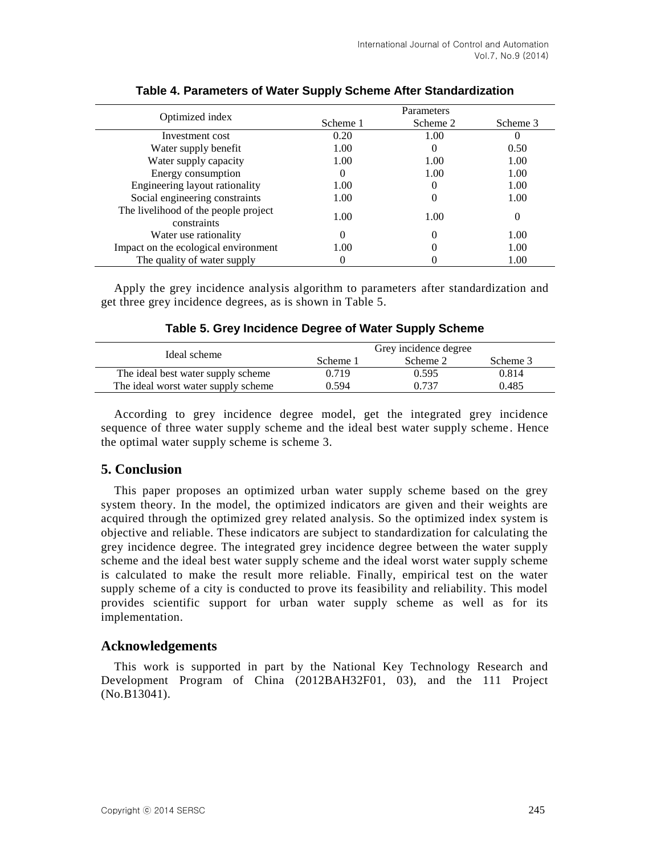| Optimized index                                     | Parameters |          |          |
|-----------------------------------------------------|------------|----------|----------|
|                                                     | Scheme 1   | Scheme 2 | Scheme 3 |
| Investment cost                                     | 0.20       | 1.00     |          |
| Water supply benefit                                | 1.00       |          | 0.50     |
| Water supply capacity                               | 1.00       | 1.00     | 1.00     |
| Energy consumption                                  | $\Omega$   | 1.00     | 1.00     |
| Engineering layout rationality                      | 1.00       |          | 1.00     |
| Social engineering constraints                      | 1.00       |          | 1.00     |
| The livelihood of the people project<br>constraints | 1.00       | 1.00     | 0        |
| Water use rationality                               | 0          |          | 1.00     |
| Impact on the ecological environment                | 1.00       |          | 1.00     |
| The quality of water supply                         |            |          | 1.00     |

## **Table 4. Parameters of Water Supply Scheme After Standardization**

Apply the grey incidence analysis algorithm to parameters after standardization and get three grey incidence degrees, as is shown in Table 5.

## **Table 5. Grey Incidence Degree of Water Supply Scheme**

| Ideal scheme                        |          | Grey incidence degree |          |  |
|-------------------------------------|----------|-----------------------|----------|--|
|                                     | Scheme 1 | Scheme 2              | Scheme 3 |  |
| The ideal best water supply scheme  | 0.719    | 0.595                 | 0.814    |  |
| The ideal worst water supply scheme | 0.594    | 0.737                 | 0.485    |  |

According to grey incidence degree model, get the integrated grey incidence sequence of three water supply scheme and the ideal best water supply scheme . Hence the optimal water supply scheme is scheme 3.

## **5. Conclusion**

This paper proposes an optimized urban water supply scheme based on the grey system theory. In the model, the optimized indicators are given and their weights are acquired through the optimized grey related analysis. So the optimized index system is objective and reliable. These indicators are subject to standardization for calculating the grey incidence degree. The integrated grey incidence degree between the water supply scheme and the ideal best water supply scheme and the ideal worst water supply scheme is calculated to make the result more reliable. Finally, empirical test on the water supply scheme of a city is conducted to prove its feasibility and reliability. This model provides scientific support for urban water supply scheme as well as for its implementation.

## **Acknowledgements**

This work is supported in part by the National Key Technology Research and Development Program of China (2012BAH32F01, 03), and the 111 Project (No.B13041).